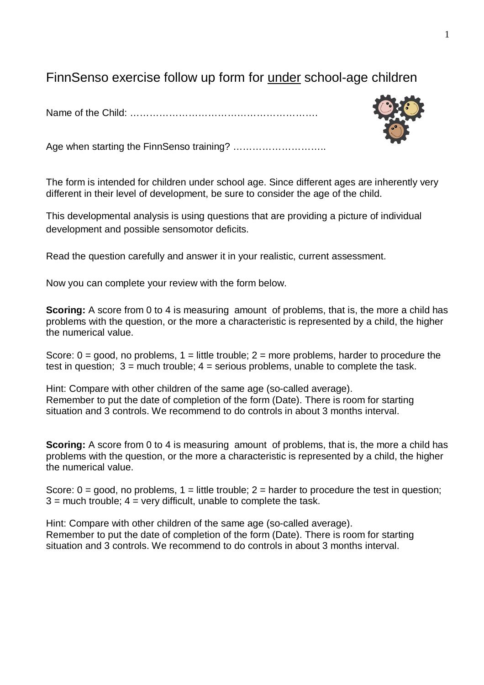## FinnSenso exercise follow up form for under school-age children

Name of the Child: ………………………………………………….

Age when starting the FinnSenso training? ………………………..

The form is intended for children under school age. Since different ages are inherently very different in their level of development, be sure to consider the age of the child.

This developmental analysis is using questions that are providing a picture of individual development and possible sensomotor deficits.

Read the question carefully and answer it in your realistic, current assessment.

Now you can complete your review with the form below.

**Scoring:** A score from 0 to 4 is measuring amount of problems, that is, the more a child has problems with the question, or the more a characteristic is represented by a child, the higher the numerical value.

Score:  $0 =$  good, no problems,  $1 =$  little trouble;  $2 =$  more problems, harder to procedure the test in question;  $3 =$  much trouble;  $4 =$  serious problems, unable to complete the task.

Hint: Compare with other children of the same age (so-called average). Remember to put the date of completion of the form (Date). There is room for starting situation and 3 controls. We recommend to do controls in about 3 months interval.

**Scoring:** A score from 0 to 4 is measuring amount of problems, that is, the more a child has problems with the question, or the more a characteristic is represented by a child, the higher the numerical value.

Score:  $0 = \text{good}$ , no problems,  $1 = \text{little trouble}$ ;  $2 = \text{harder}$  to procedure the test in question;  $3$  = much trouble;  $4$  = very difficult, unable to complete the task.

Hint: Compare with other children of the same age (so-called average). Remember to put the date of completion of the form (Date). There is room for starting situation and 3 controls. We recommend to do controls in about 3 months interval.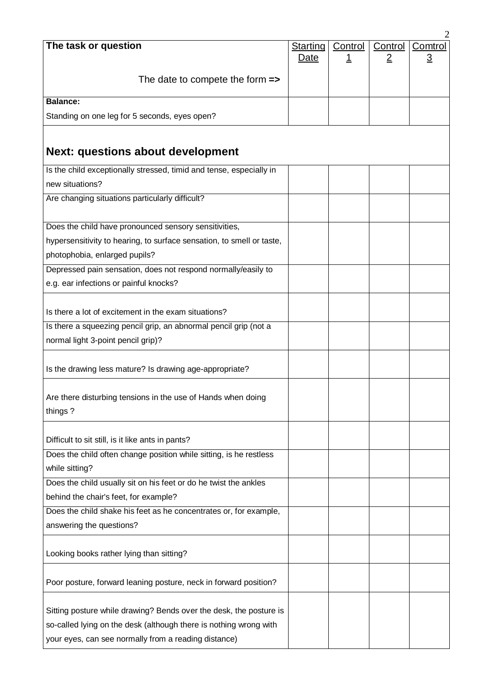|                                                                                                                                         |                         |                      |                           | 2                         |
|-----------------------------------------------------------------------------------------------------------------------------------------|-------------------------|----------------------|---------------------------|---------------------------|
| The task or question                                                                                                                    | <b>Starting</b><br>Date | Control<br><u> 1</u> | Control<br>$\overline{2}$ | Comtrol<br>$\overline{3}$ |
|                                                                                                                                         |                         |                      |                           |                           |
| The date to compete the form $\Rightarrow$                                                                                              |                         |                      |                           |                           |
| <b>Balance:</b>                                                                                                                         |                         |                      |                           |                           |
|                                                                                                                                         |                         |                      |                           |                           |
| Standing on one leg for 5 seconds, eyes open?                                                                                           |                         |                      |                           |                           |
|                                                                                                                                         |                         |                      |                           |                           |
| <b>Next: questions about development</b>                                                                                                |                         |                      |                           |                           |
| Is the child exceptionally stressed, timid and tense, especially in                                                                     |                         |                      |                           |                           |
| new situations?                                                                                                                         |                         |                      |                           |                           |
| Are changing situations particularly difficult?                                                                                         |                         |                      |                           |                           |
|                                                                                                                                         |                         |                      |                           |                           |
| Does the child have pronounced sensory sensitivities,                                                                                   |                         |                      |                           |                           |
| hypersensitivity to hearing, to surface sensation, to smell or taste,                                                                   |                         |                      |                           |                           |
| photophobia, enlarged pupils?                                                                                                           |                         |                      |                           |                           |
| Depressed pain sensation, does not respond normally/easily to                                                                           |                         |                      |                           |                           |
| e.g. ear infections or painful knocks?                                                                                                  |                         |                      |                           |                           |
|                                                                                                                                         |                         |                      |                           |                           |
| Is there a lot of excitement in the exam situations?                                                                                    |                         |                      |                           |                           |
| Is there a squeezing pencil grip, an abnormal pencil grip (not a                                                                        |                         |                      |                           |                           |
| normal light 3-point pencil grip)?                                                                                                      |                         |                      |                           |                           |
|                                                                                                                                         |                         |                      |                           |                           |
| Is the drawing less mature? Is drawing age-appropriate?                                                                                 |                         |                      |                           |                           |
|                                                                                                                                         |                         |                      |                           |                           |
| Are there disturbing tensions in the use of Hands when doing                                                                            |                         |                      |                           |                           |
| things?                                                                                                                                 |                         |                      |                           |                           |
|                                                                                                                                         |                         |                      |                           |                           |
| Difficult to sit still, is it like ants in pants?                                                                                       |                         |                      |                           |                           |
| Does the child often change position while sitting, is he restless                                                                      |                         |                      |                           |                           |
| while sitting?                                                                                                                          |                         |                      |                           |                           |
| Does the child usually sit on his feet or do he twist the ankles                                                                        |                         |                      |                           |                           |
| behind the chair's feet, for example?                                                                                                   |                         |                      |                           |                           |
| Does the child shake his feet as he concentrates or, for example,                                                                       |                         |                      |                           |                           |
| answering the questions?                                                                                                                |                         |                      |                           |                           |
|                                                                                                                                         |                         |                      |                           |                           |
| Looking books rather lying than sitting?                                                                                                |                         |                      |                           |                           |
|                                                                                                                                         |                         |                      |                           |                           |
| Poor posture, forward leaning posture, neck in forward position?                                                                        |                         |                      |                           |                           |
|                                                                                                                                         |                         |                      |                           |                           |
| Sitting posture while drawing? Bends over the desk, the posture is<br>so-called lying on the desk (although there is nothing wrong with |                         |                      |                           |                           |
|                                                                                                                                         |                         |                      |                           |                           |
| your eyes, can see normally from a reading distance)                                                                                    |                         |                      |                           |                           |